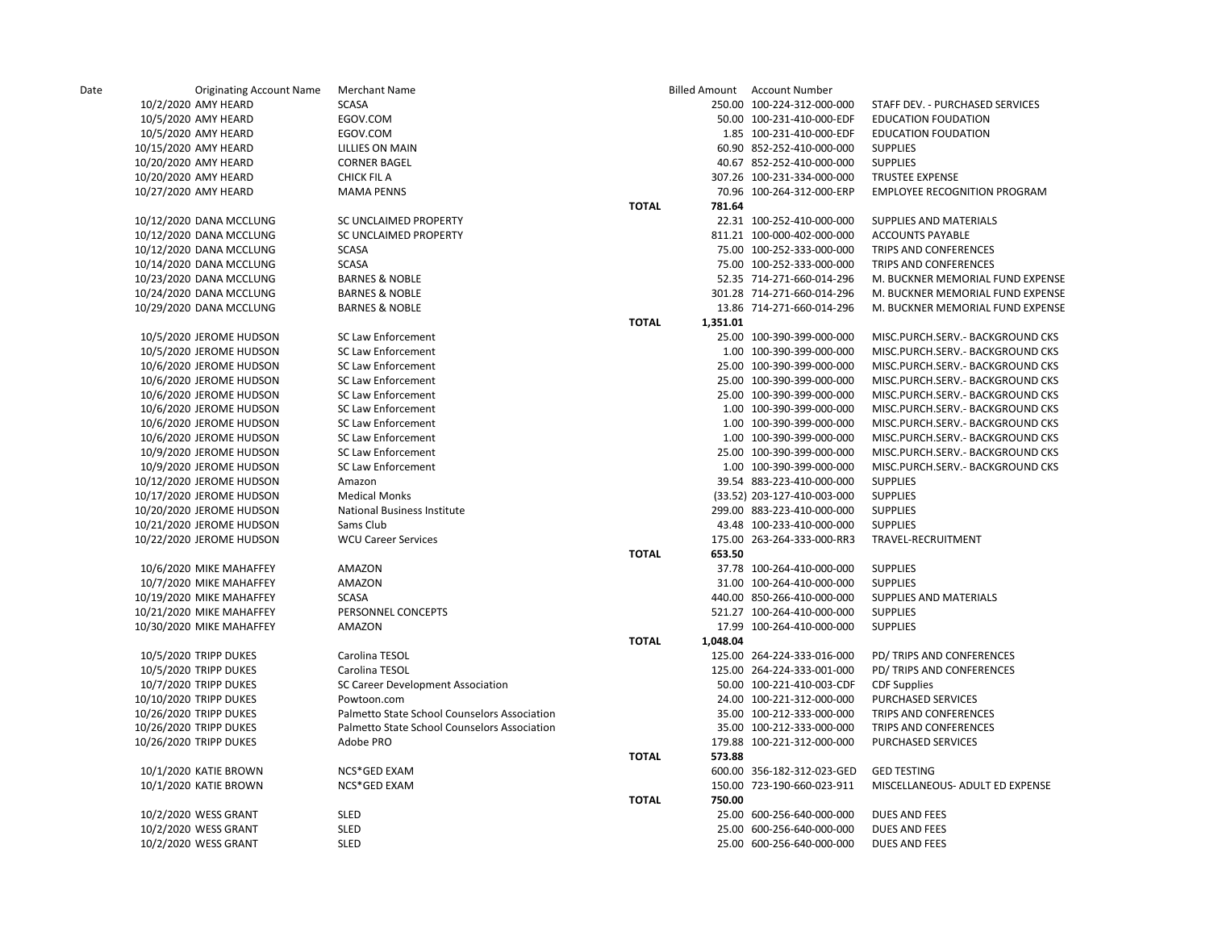| Date | <b>Originating Account Name</b> | <b>Merchant Name</b>                            |              | <b>Billed Amount</b> | Account Number              |                                     |
|------|---------------------------------|-------------------------------------------------|--------------|----------------------|-----------------------------|-------------------------------------|
|      | 10/2/2020 AMY HEARD             | <b>SCASA</b>                                    |              |                      | 250.00 100-224-312-000-000  | STAFF DEV. - PURCHASED SERVICES     |
|      | 10/5/2020 AMY HEARD             | EGOV.COM                                        |              |                      | 50.00 100-231-410-000-EDF   | <b>EDUCATION FOUDATION</b>          |
|      | 10/5/2020 AMY HEARD             | EGOV.COM                                        |              |                      | 1.85 100-231-410-000-EDF    | <b>EDUCATION FOUDATION</b>          |
|      | 10/15/2020 AMY HEARD            | <b>LILLIES ON MAIN</b>                          |              |                      | 60.90 852-252-410-000-000   | <b>SUPPLIES</b>                     |
|      | 10/20/2020 AMY HEARD            | <b>CORNER BAGEL</b>                             |              |                      | 40.67 852-252-410-000-000   | <b>SUPPLIES</b>                     |
|      | 10/20/2020 AMY HEARD            | <b>CHICK FIL A</b>                              |              |                      | 307.26 100-231-334-000-000  | TRUSTEE EXPENSE                     |
|      | 10/27/2020 AMY HEARD            | <b>MAMA PENNS</b>                               |              |                      | 70.96 100-264-312-000-ERP   | <b>EMPLOYEE RECOGNITION PROGRAM</b> |
|      |                                 |                                                 | <b>TOTAL</b> | 781.64               |                             |                                     |
|      | 10/12/2020 DANA MCCLUNG         | SC UNCLAIMED PROPERTY                           |              |                      | 22.31 100-252-410-000-000   | SUPPLIES AND MATERIALS              |
|      | 10/12/2020 DANA MCCLUNG         | SC UNCLAIMED PROPERTY                           |              |                      | 811.21 100-000-402-000-000  | <b>ACCOUNTS PAYABLE</b>             |
|      | 10/12/2020 DANA MCCLUNG         | <b>SCASA</b>                                    |              |                      | 75.00 100-252-333-000-000   | TRIPS AND CONFERENCES               |
|      | 10/14/2020 DANA MCCLUNG         | <b>SCASA</b>                                    |              |                      | 75.00 100-252-333-000-000   | TRIPS AND CONFERENCES               |
|      | 10/23/2020 DANA MCCLUNG         | <b>BARNES &amp; NOBLE</b>                       |              |                      | 52.35 714-271-660-014-296   | M. BUCKNER MEMORIAL FUND EXPENSE    |
|      | 10/24/2020 DANA MCCLUNG         | <b>BARNES &amp; NOBLE</b>                       |              |                      | 301.28 714-271-660-014-296  | M. BUCKNER MEMORIAL FUND EXPENSE    |
|      | 10/29/2020 DANA MCCLUNG         | <b>BARNES &amp; NOBLE</b>                       |              |                      | 13.86 714-271-660-014-296   | M. BUCKNER MEMORIAL FUND EXPENSE    |
|      |                                 |                                                 | <b>TOTAL</b> | 1,351.01             |                             |                                     |
|      | 10/5/2020 JEROME HUDSON         | SC Law Enforcement                              |              |                      | 25.00 100-390-399-000-000   | MISC.PURCH.SERV.- BACKGROUND CKS    |
|      | 10/5/2020 JEROME HUDSON         | <b>SC Law Enforcement</b>                       |              |                      | 1.00 100-390-399-000-000    | MISC.PURCH.SERV.- BACKGROUND CKS    |
|      | 10/6/2020 JEROME HUDSON         | <b>SC Law Enforcement</b>                       |              |                      | 25.00 100-390-399-000-000   | MISC.PURCH.SERV.- BACKGROUND CKS    |
|      | 10/6/2020 JEROME HUDSON         | <b>SC Law Enforcement</b>                       |              |                      | 25.00 100-390-399-000-000   | MISC.PURCH.SERV.- BACKGROUND CKS    |
|      | 10/6/2020 JEROME HUDSON         | <b>SC Law Enforcement</b>                       |              |                      | 25.00 100-390-399-000-000   | MISC.PURCH.SERV.- BACKGROUND CKS    |
|      |                                 |                                                 |              |                      | 1.00 100-390-399-000-000    |                                     |
|      | 10/6/2020 JEROME HUDSON         | SC Law Enforcement<br><b>SC Law Enforcement</b> |              |                      | 1.00 100-390-399-000-000    | MISC.PURCH.SERV.- BACKGROUND CKS    |
|      | 10/6/2020 JEROME HUDSON         |                                                 |              |                      |                             | MISC.PURCH.SERV.- BACKGROUND CKS    |
|      | 10/6/2020 JEROME HUDSON         | <b>SC Law Enforcement</b>                       |              |                      | 1.00 100-390-399-000-000    | MISC.PURCH.SERV.- BACKGROUND CKS    |
|      | 10/9/2020 JEROME HUDSON         | SC Law Enforcement                              |              |                      | 25.00 100-390-399-000-000   | MISC.PURCH.SERV.- BACKGROUND CKS    |
|      | 10/9/2020 JEROME HUDSON         | SC Law Enforcement                              |              |                      | 1.00 100-390-399-000-000    | MISC.PURCH.SERV.- BACKGROUND CKS    |
|      | 10/12/2020 JEROME HUDSON        | Amazon                                          |              |                      | 39.54 883-223-410-000-000   | <b>SUPPLIES</b>                     |
|      | 10/17/2020 JEROME HUDSON        | <b>Medical Monks</b>                            |              |                      | (33.52) 203-127-410-003-000 | <b>SUPPLIES</b>                     |
|      | 10/20/2020 JEROME HUDSON        | National Business Institute                     |              |                      | 299.00 883-223-410-000-000  | <b>SUPPLIES</b>                     |
|      | 10/21/2020 JEROME HUDSON        | Sams Club                                       |              |                      | 43.48 100-233-410-000-000   | <b>SUPPLIES</b>                     |
|      | 10/22/2020 JEROME HUDSON        | <b>WCU Career Services</b>                      |              |                      | 175.00 263-264-333-000-RR3  | TRAVEL-RECRUITMENT                  |
|      |                                 |                                                 | <b>TOTAL</b> | 653.50               |                             |                                     |
|      | 10/6/2020 MIKE MAHAFFEY         | AMAZON                                          |              |                      | 37.78 100-264-410-000-000   | <b>SUPPLIES</b>                     |
|      | 10/7/2020 MIKE MAHAFFEY         | AMAZON                                          |              |                      | 31.00 100-264-410-000-000   | <b>SUPPLIES</b>                     |
|      | 10/19/2020 MIKE MAHAFFEY        | <b>SCASA</b>                                    |              |                      | 440.00 850-266-410-000-000  | SUPPLIES AND MATERIALS              |
|      | 10/21/2020 MIKE MAHAFFEY        | PERSONNEL CONCEPTS                              |              |                      | 521.27 100-264-410-000-000  | <b>SUPPLIES</b>                     |
|      | 10/30/2020 MIKE MAHAFFEY        | AMAZON                                          |              |                      | 17.99 100-264-410-000-000   | <b>SUPPLIES</b>                     |
|      |                                 |                                                 | <b>TOTAL</b> | 1,048.04             |                             |                                     |
|      | 10/5/2020 TRIPP DUKES           | Carolina TESOL                                  |              |                      | 125.00 264-224-333-016-000  | PD/ TRIPS AND CONFERENCES           |
|      | 10/5/2020 TRIPP DUKES           | Carolina TESOL                                  |              |                      | 125.00 264-224-333-001-000  | PD/ TRIPS AND CONFERENCES           |
|      | 10/7/2020 TRIPP DUKES           | SC Career Development Association               |              |                      | 50.00 100-221-410-003-CDF   | <b>CDF Supplies</b>                 |
|      | 10/10/2020 TRIPP DUKES          | Powtoon.com                                     |              |                      | 24.00 100-221-312-000-000   | PURCHASED SERVICES                  |
|      | 10/26/2020 TRIPP DUKES          | Palmetto State School Counselors Association    |              |                      | 35.00 100-212-333-000-000   | TRIPS AND CONFERENCES               |
|      | 10/26/2020 TRIPP DUKES          | Palmetto State School Counselors Association    |              |                      | 35.00 100-212-333-000-000   | TRIPS AND CONFERENCES               |
|      | 10/26/2020 TRIPP DUKES          | Adobe PRO                                       |              |                      | 179.88 100-221-312-000-000  | <b>PURCHASED SERVICES</b>           |
|      |                                 |                                                 | <b>TOTAL</b> | 573.88               |                             |                                     |
|      | 10/1/2020 KATIE BROWN           | NCS*GED EXAM                                    |              |                      | 600.00 356-182-312-023-GED  | <b>GED TESTING</b>                  |
|      | 10/1/2020 KATIE BROWN           | NCS*GED EXAM                                    |              |                      | 150.00 723-190-660-023-911  | MISCELLANEOUS- ADULT ED EXPENSE     |
|      |                                 |                                                 | <b>TOTAL</b> | 750.00               |                             |                                     |
|      | 10/2/2020 WESS GRANT            | SLED                                            |              |                      | 25.00 600-256-640-000-000   | <b>DUES AND FEES</b>                |
|      | 10/2/2020 WESS GRANT            | SLED                                            |              |                      | 25.00 600-256-640-000-000   | <b>DUES AND FEES</b>                |
|      | 10/2/2020 WESS GRANT            | <b>SLED</b>                                     |              |                      | 25.00 600-256-640-000-000   | <b>DUES AND FEES</b>                |
|      |                                 |                                                 |              |                      |                             |                                     |